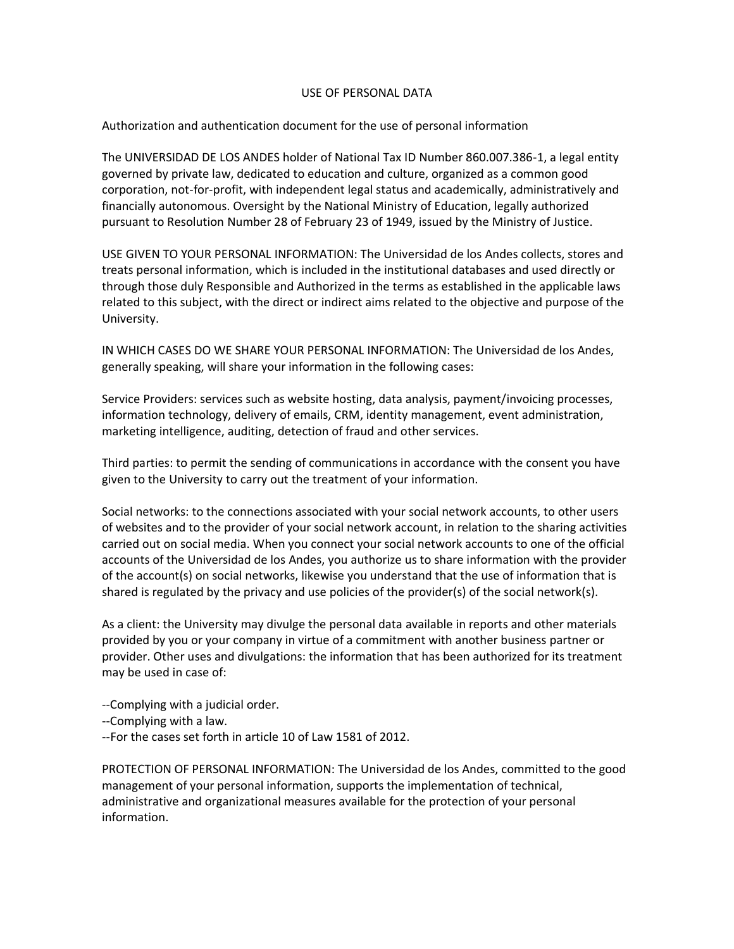#### USE OF PERSONAL DATA

# Authorization and authentication document for the use of personal information

The UNIVERSIDAD DE LOS ANDES holder of National Tax ID Number 860.007.386-1, a legal entity governed by private law, dedicated to education and culture, organized as a common good corporation, not-for-profit, with independent legal status and academically, administratively and financially autonomous. Oversight by the National Ministry of Education, legally authorized pursuant to Resolution Number 28 of February 23 of 1949, issued by the Ministry of Justice.

USE GIVEN TO YOUR PERSONAL INFORMATION: The Universidad de los Andes collects, stores and treats personal information, which is included in the institutional databases and used directly or through those duly Responsible and Authorized in the terms as established in the applicable laws related to this subject, with the direct or indirect aims related to the objective and purpose of the University.

IN WHICH CASES DO WE SHARE YOUR PERSONAL INFORMATION: The Universidad de los Andes, generally speaking, will share your information in the following cases:

Service Providers: services such as website hosting, data analysis, payment/invoicing processes, information technology, delivery of emails, CRM, identity management, event administration, marketing intelligence, auditing, detection of fraud and other services.

Third parties: to permit the sending of communications in accordance with the consent you have given to the University to carry out the treatment of your information.

Social networks: to the connections associated with your social network accounts, to other users of websites and to the provider of your social network account, in relation to the sharing activities carried out on social media. When you connect your social network accounts to one of the official accounts of the Universidad de los Andes, you authorize us to share information with the provider of the account(s) on social networks, likewise you understand that the use of information that is shared is regulated by the privacy and use policies of the provider(s) of the social network(s).

As a client: the University may divulge the personal data available in reports and other materials provided by you or your company in virtue of a commitment with another business partner or provider. Other uses and divulgations: the information that has been authorized for its treatment may be used in case of:

--Complying with a judicial order.

- --Complying with a law.
- --For the cases set forth in article 10 of Law 1581 of 2012.

PROTECTION OF PERSONAL INFORMATION: The Universidad de los Andes, committed to the good management of your personal information, supports the implementation of technical, administrative and organizational measures available for the protection of your personal information.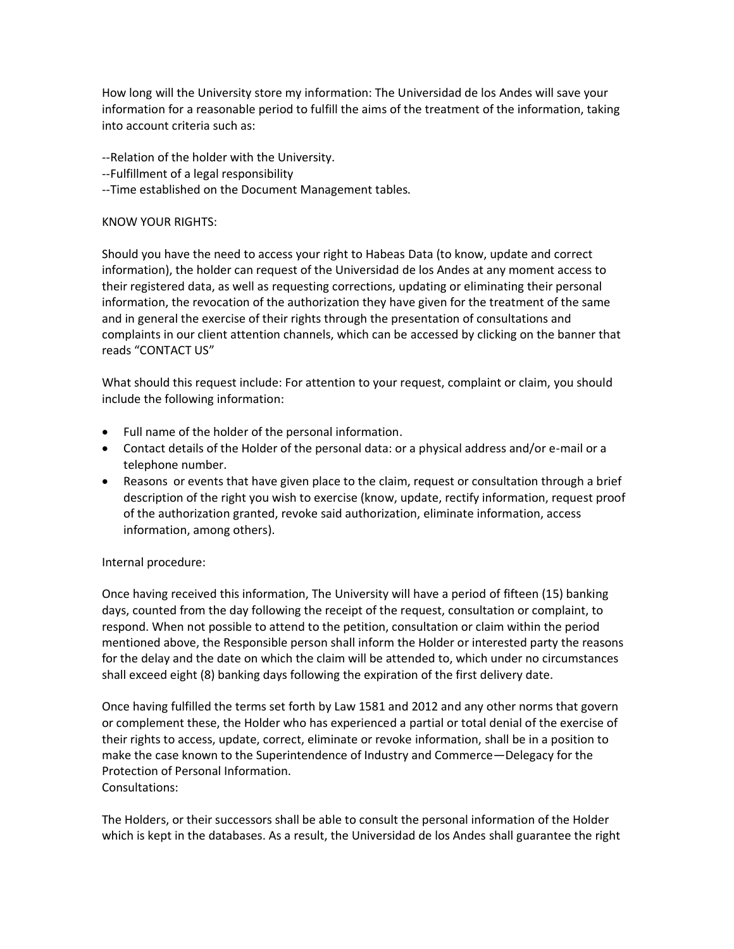How long will the University store my information: The Universidad de los Andes will save your information for a reasonable period to fulfill the aims of the treatment of the information, taking into account criteria such as:

--Relation of the holder with the University.

- --Fulfillment of a legal responsibility
- --Time established on the Document Management tables.

### KNOW YOUR RIGHTS:

Should you have the need to access your right to Habeas Data (to know, update and correct information), the holder can request of the Universidad de los Andes at any moment access to their registered data, as well as requesting corrections, updating or eliminating their personal information, the revocation of the authorization they have given for the treatment of the same and in general the exercise of their rights through the presentation of consultations and complaints in our client attention channels, which can be accessed by clicking on the banner that reads "CONTACT US"

What should this request include: For attention to your request, complaint or claim, you should include the following information:

- Full name of the holder of the personal information.
- Contact details of the Holder of the personal data: or a physical address and/or e-mail or a telephone number.
- Reasons or events that have given place to the claim, request or consultation through a brief description of the right you wish to exercise (know, update, rectify information, request proof of the authorization granted, revoke said authorization, eliminate information, access information, among others).

# Internal procedure:

Once having received this information, The University will have a period of fifteen (15) banking days, counted from the day following the receipt of the request, consultation or complaint, to respond. When not possible to attend to the petition, consultation or claim within the period mentioned above, the Responsible person shall inform the Holder or interested party the reasons for the delay and the date on which the claim will be attended to, which under no circumstances shall exceed eight (8) banking days following the expiration of the first delivery date.

Once having fulfilled the terms set forth by Law 1581 and 2012 and any other norms that govern or complement these, the Holder who has experienced a partial or total denial of the exercise of their rights to access, update, correct, eliminate or revoke information, shall be in a position to make the case known to the Superintendence of Industry and Commerce—Delegacy for the Protection of Personal Information. Consultations:

The Holders, or their successors shall be able to consult the personal information of the Holder which is kept in the databases. As a result, the Universidad de los Andes shall guarantee the right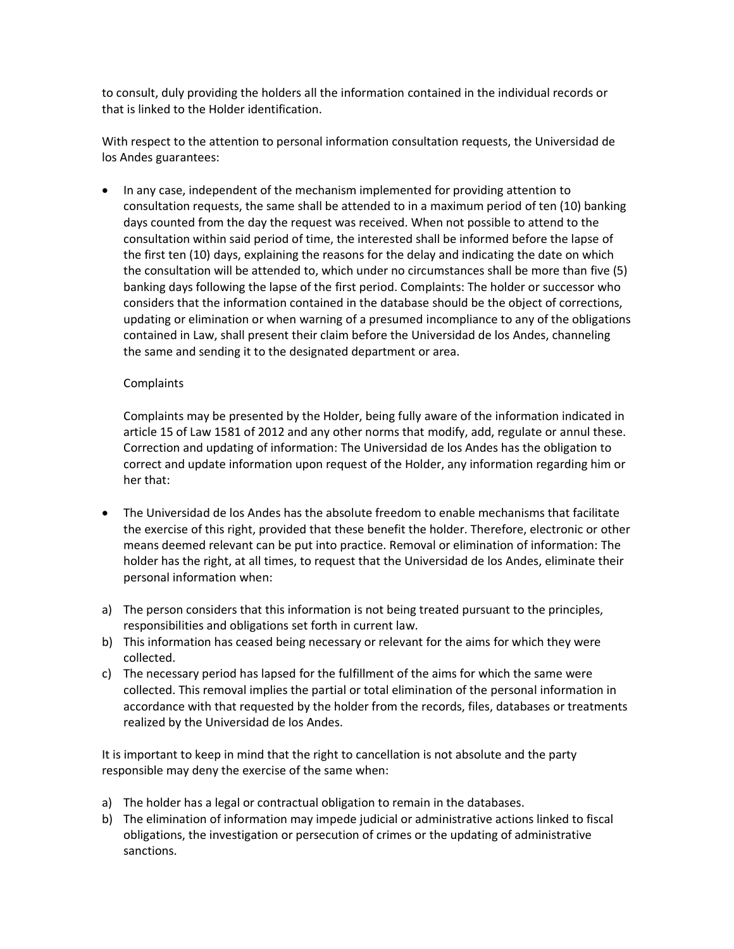to consult, duly providing the holders all the information contained in the individual records or that is linked to the Holder identification.

With respect to the attention to personal information consultation requests, the Universidad de los Andes guarantees:

• In any case, independent of the mechanism implemented for providing attention to consultation requests, the same shall be attended to in a maximum period of ten (10) banking days counted from the day the request was received. When not possible to attend to the consultation within said period of time, the interested shall be informed before the lapse of the first ten (10) days, explaining the reasons for the delay and indicating the date on which the consultation will be attended to, which under no circumstances shall be more than five (5) banking days following the lapse of the first period. Complaints: The holder or successor who considers that the information contained in the database should be the object of corrections, updating or elimination or when warning of a presumed incompliance to any of the obligations contained in Law, shall present their claim before the Universidad de los Andes, channeling the same and sending it to the designated department or area.

# Complaints

Complaints may be presented by the Holder, being fully aware of the information indicated in article 15 of Law 1581 of 2012 and any other norms that modify, add, regulate or annul these. Correction and updating of information: The Universidad de los Andes has the obligation to correct and update information upon request of the Holder, any information regarding him or her that:

- The Universidad de los Andes has the absolute freedom to enable mechanisms that facilitate the exercise of this right, provided that these benefit the holder. Therefore, electronic or other means deemed relevant can be put into practice. Removal or elimination of information: The holder has the right, at all times, to request that the Universidad de los Andes, eliminate their personal information when:
- a) The person considers that this information is not being treated pursuant to the principles, responsibilities and obligations set forth in current law.
- b) This information has ceased being necessary or relevant for the aims for which they were collected.
- c) The necessary period has lapsed for the fulfillment of the aims for which the same were collected. This removal implies the partial or total elimination of the personal information in accordance with that requested by the holder from the records, files, databases or treatments realized by the Universidad de los Andes.

It is important to keep in mind that the right to cancellation is not absolute and the party responsible may deny the exercise of the same when:

- a) The holder has a legal or contractual obligation to remain in the databases.
- b) The elimination of information may impede judicial or administrative actions linked to fiscal obligations, the investigation or persecution of crimes or the updating of administrative sanctions.